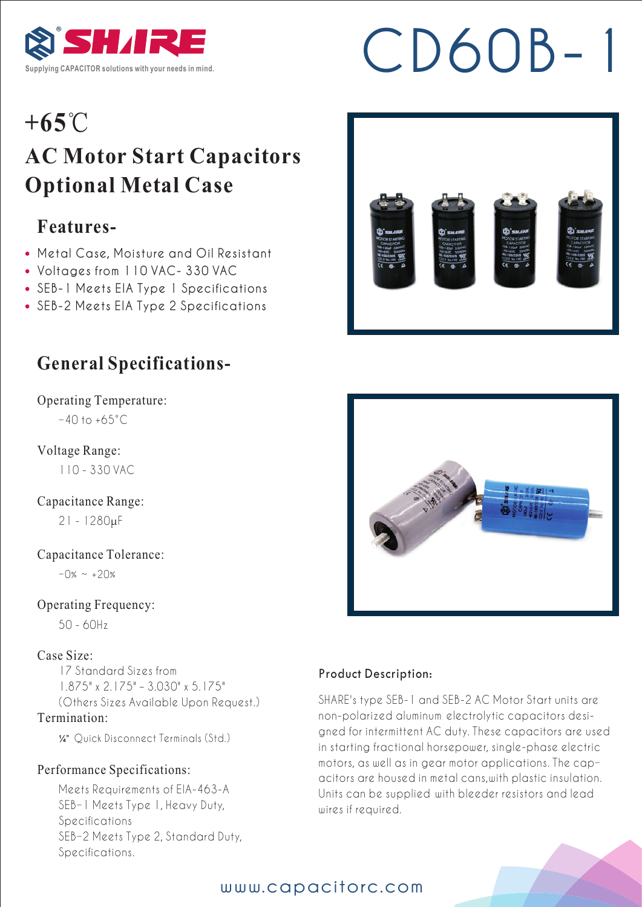

# **SHIRE** CD60B-1

### **+65**℃

### **AC Motor Start Capacitors Optional Metal Case**

### **Features-**

- Metal Case, Moisture and Oil Resistant
- Voltages from 110 VAC- 330 VAC
- SEB-1 Meets EIA Type 1 Specifications
- SEB-2 Meets EIA Type 2 Specifications

### **General Specifications-**

Operating Temperature:  $-40$  to  $+65^{\circ}$ C

Voltage Range:

110 - 330 VAC

Capacitance Range:

21 - 1280μF

Capacitance Tolerance:

 $-0\% \sim +20\%$ 

Operating Frequency:

50 - 60Hz

#### Case Size:

17 Standard Sizes from 1.875" x 2.175" – 3.030" x 5.175" (Others Sizes Available Upon Request.) Termination:

¼" Quick Disconnect Terminals (Std.)

#### Performance Specifications:

Meets Requirements of EIA-463-A SEB-1 Meets Type 1, Heavy Duty, Specifications SEB-2 Meets Type 2, Standard Duty, Specifications.





#### Product Description:

SHARE's type SEB-1 and SEB-2 AC Motor Start units are non-polarized aluminum electrolytic capacitors designed for intermittent AC duty. These capacitors are used in starting fractional horsepower, single-phase electric motors, as well as in gear motor applications. The capacitors are housed in metal cans,with plastic insulation. Units can be supplied with bleeder resistors and lead wires if required.



#### www.capacitorc.com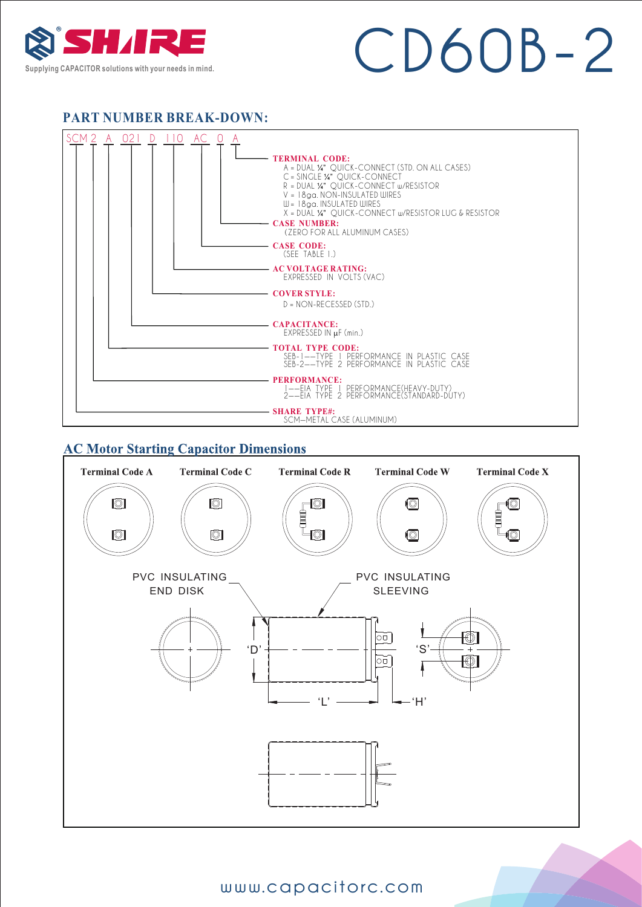

## **SUPPLY RECOLUTION SOLUTION**

#### **PART NUMBER BREAK-DOWN:**



#### **AC Motor Starting Capacitor Dimensions**



#### www.capacitorc.com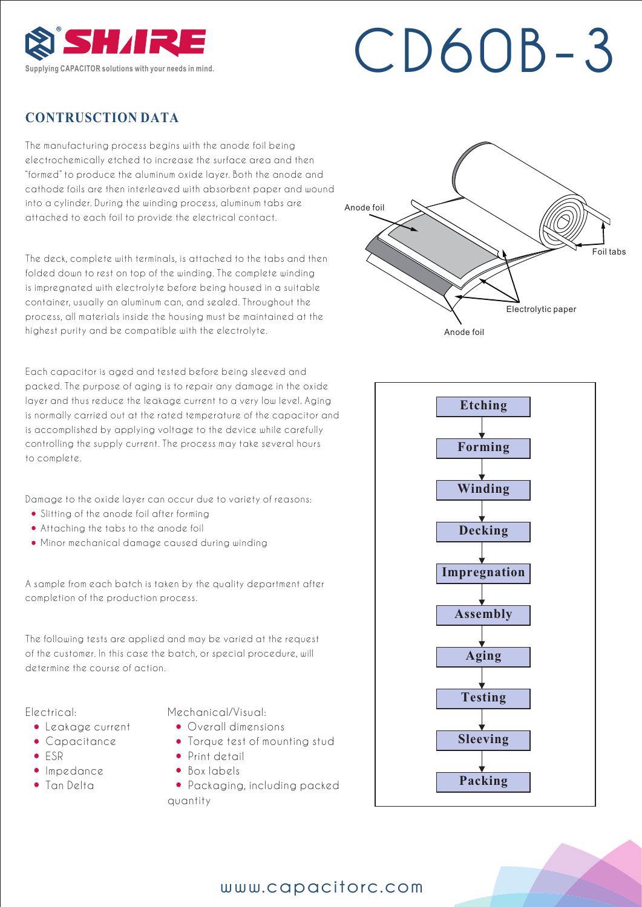

## **SHIRE** CD60B-3

#### **CONTRUSCTION DATA**

The manufacturing process begins with the anode foil being electrochemically etched to increase the surface area and then "formed" to produce the aluminum oxide layer. Both the anode and cathode foils are then interleaved with absorbent paper and wound into a cylinder. During the winding process, aluminum tabs are attached to each foil to provide the electrical contact.

The deck, complete with terminals, is attached to the tabs and then folded down to rest on top of the winding. The complete winding is impregnated with electrolyte before being housed in a suitable container, usually an aluminum can, and sealed. Throughout the process, all materials inside the housing must be maintained at the highest purity and be compatible with the electrolyte.

Each capacitor is aged and tested before being sleeved and packed. The purpose of aging is to repair any damage in the oxide layer and thus reduce the leakage current to a very low level. Aging is normally carried out at the rated temperature of the capacitor and is accomplished by applying voltage to the device while carefully controlling the supply current. The process may take several hours to complete.

Damage to the oxide layer can occur due to variety of reasons:

- Slitting of the anode foil after forming
- Attaching the tabs to the anode foil
- Minor mechanical damage caused during winding

A sample from each batch is taken by the quality department after completion of the production process.

The following tests are applied and may be varied at the request of the customer. In this case the batch, or special procedure, will determine the course of action.

#### Electrical:

- Leakage current
- Capacitance
- ESR
- · Impedance
- Tan Delta

Mechanical/Visual:

- Overall dimensions
- Torque test of mounting stud
- Print detail
- Box labels
- Packaging, including packed quantity





#### www.capacitorc.com